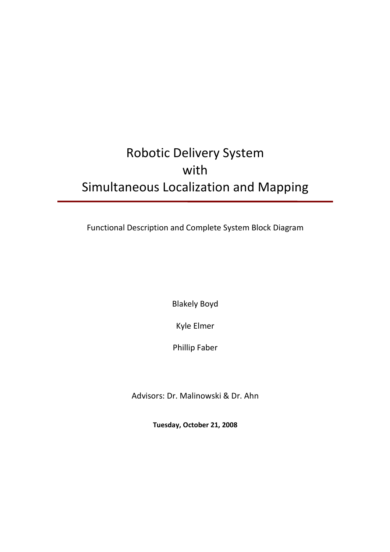# Robotic Delivery System with Simultaneous Localization and Mapping

Functional Description and Complete System Block Diagram

Blakely Boyd

Kyle Elmer

Phillip Faber

Advisors: Dr. Malinowski & Dr. Ahn

**Tuesday, October 21, 2008**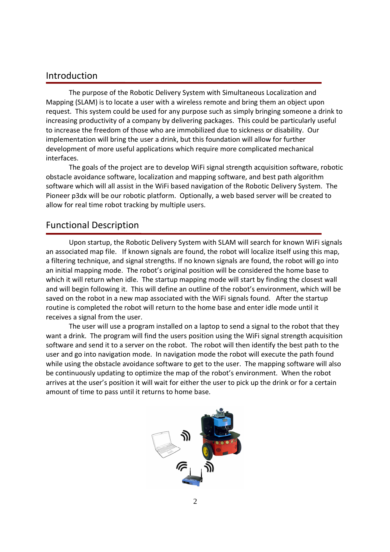### Introduction

The purpose of the Robotic Delivery System with Simultaneous Localization and Mapping (SLAM) is to locate a user with a wireless remote and bring them an object upon request. This system could be used for any purpose such as simply bringing someone a drink to increasing productivity of a company by delivering packages. This could be particularly useful to increase the freedom of those who are immobilized due to sickness or disability. Our implementation will bring the user a drink, but this foundation will allow for further development of more useful applications which require more complicated mechanical interfaces.

The goals of the project are to develop WiFi signal strength acquisition software, robotic obstacle avoidance software, localization and mapping software, and best path algorithm software which will all assist in the WiFi based navigation of the Robotic Delivery System. The Pioneer p3dx will be our robotic platform. Optionally, a web based server will be created to allow for real time robot tracking by multiple users.

## Functional Description

Upon startup, the Robotic Delivery System with SLAM will search for known WiFi signals an associated map file. If known signals are found, the robot will localize itself using this map, a filtering technique, and signal strengths. If no known signals are found, the robot will go into an initial mapping mode. The robot's original position will be considered the home base to which it will return when idle. The startup mapping mode will start by finding the closest wall and will begin following it. This will define an outline of the robot's environment, which will be saved on the robot in a new map associated with the WiFi signals found. After the startup routine is completed the robot will return to the home base and enter idle mode until it receives a signal from the user.

 The user will use a program installed on a laptop to send a signal to the robot that they want a drink. The program will find the users position using the WiFi signal strength acquisition software and send it to a server on the robot. The robot will then identify the best path to the user and go into navigation mode. In navigation mode the robot will execute the path found while using the obstacle avoidance software to get to the user. The mapping software will also be continuously updating to optimize the map of the robot's environment. When the robot arrives at the user's position it will wait for either the user to pick up the drink or for a certain amount of time to pass until it returns to home base.

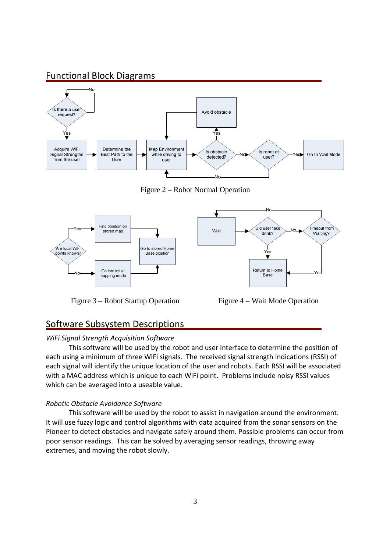## Functional Block Diagrams



Figure 2 – Robot Normal Operation



Figure 3 – Robot Startup Operation Figure 4 – Wait Mode Operation

## Software Subsystem Descriptions

#### *WiFi Signal Strength Acquisition Software*

 This software will be used by the robot and user interface to determine the position of each using a minimum of three WiFi signals. The received signal strength indications (RSSI) of each signal will identify the unique location of the user and robots. Each RSSI will be associated with a MAC address which is unique to each WiFi point. Problems include noisy RSSI values which can be averaged into a useable value.

#### *Robotic Obstacle Avoidance Software*

 This software will be used by the robot to assist in navigation around the environment. It will use fuzzy logic and control algorithms with data acquired from the sonar sensors on the Pioneer to detect obstacles and navigate safely around them. Possible problems can occur from poor sensor readings. This can be solved by averaging sensor readings, throwing away extremes, and moving the robot slowly.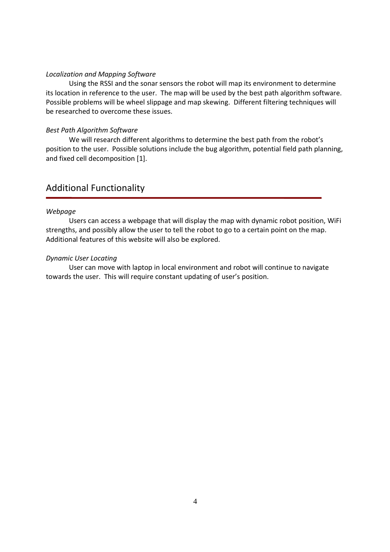#### *Localization and Mapping Software*

 Using the RSSI and the sonar sensors the robot will map its environment to determine its location in reference to the user. The map will be used by the best path algorithm software. Possible problems will be wheel slippage and map skewing. Different filtering techniques will be researched to overcome these issues.

#### *Best Path Algorithm Software*

 We will research different algorithms to determine the best path from the robot's position to the user. Possible solutions include the bug algorithm, potential field path planning, and fixed cell decomposition [1].

# Additional Functionality

#### *Webpage*

Users can access a webpage that will display the map with dynamic robot position, WiFi strengths, and possibly allow the user to tell the robot to go to a certain point on the map. Additional features of this website will also be explored.

#### *Dynamic User Locating*

 User can move with laptop in local environment and robot will continue to navigate towards the user. This will require constant updating of user's position.